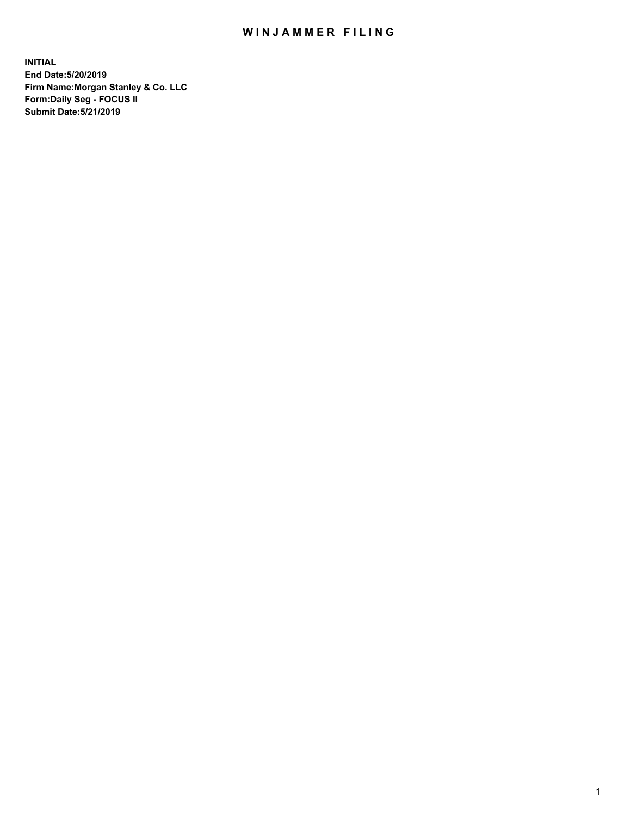## WIN JAMMER FILING

**INITIAL End Date:5/20/2019 Firm Name:Morgan Stanley & Co. LLC Form:Daily Seg - FOCUS II Submit Date:5/21/2019**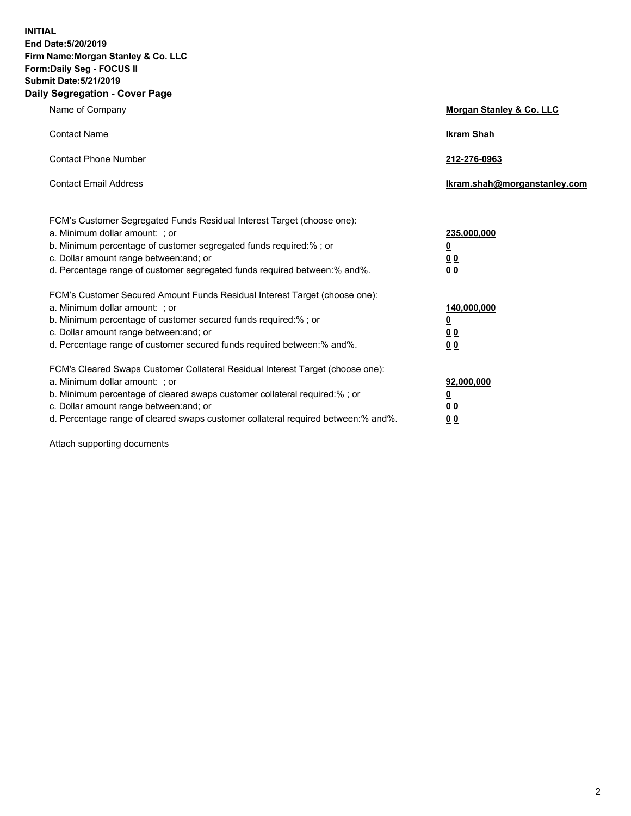**INITIAL End Date:5/20/2019 Firm Name:Morgan Stanley & Co. LLC Form:Daily Seg - FOCUS II Submit Date:5/21/2019 Daily Segregation - Cover Page**

| Name of Company                                                                                                                                                                                                                                                                                                                | Morgan Stanley & Co. LLC                               |
|--------------------------------------------------------------------------------------------------------------------------------------------------------------------------------------------------------------------------------------------------------------------------------------------------------------------------------|--------------------------------------------------------|
| <b>Contact Name</b>                                                                                                                                                                                                                                                                                                            | <b>Ikram Shah</b>                                      |
| <b>Contact Phone Number</b>                                                                                                                                                                                                                                                                                                    | 212-276-0963                                           |
| <b>Contact Email Address</b>                                                                                                                                                                                                                                                                                                   | Ikram.shah@morganstanley.com                           |
| FCM's Customer Segregated Funds Residual Interest Target (choose one):<br>a. Minimum dollar amount: ; or<br>b. Minimum percentage of customer segregated funds required:% ; or<br>c. Dollar amount range between: and; or<br>d. Percentage range of customer segregated funds required between:% and%.                         | 235,000,000<br><u>0</u><br><u>0 0</u><br>0 Q           |
| FCM's Customer Secured Amount Funds Residual Interest Target (choose one):<br>a. Minimum dollar amount: ; or<br>b. Minimum percentage of customer secured funds required:%; or<br>c. Dollar amount range between: and; or<br>d. Percentage range of customer secured funds required between:% and%.                            | 140,000,000<br><u>0</u><br><u>00</u><br>0 <sub>0</sub> |
| FCM's Cleared Swaps Customer Collateral Residual Interest Target (choose one):<br>a. Minimum dollar amount: ; or<br>b. Minimum percentage of cleared swaps customer collateral required:% ; or<br>c. Dollar amount range between: and; or<br>d. Percentage range of cleared swaps customer collateral required between:% and%. | 92,000,000<br><u>0</u><br><u>00</u><br>0 <sub>0</sub>  |

Attach supporting documents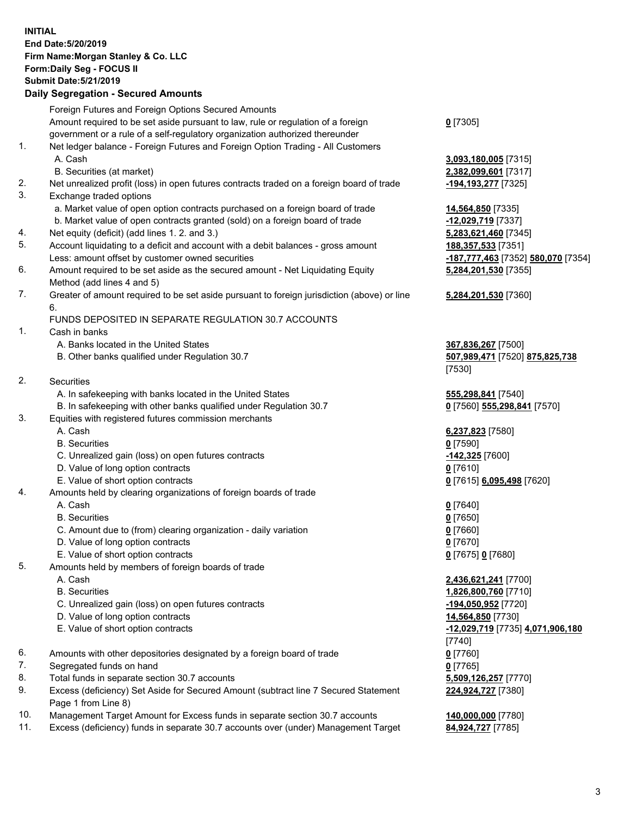## **INITIAL End Date:5/20/2019 Firm Name:Morgan Stanley & Co. LLC Form:Daily Seg - FOCUS II Submit Date:5/21/2019**

## **Daily Segregation - Secured Amounts**

|                | Foreign Futures and Foreign Options Secured Amounts                                         |                                              |
|----------------|---------------------------------------------------------------------------------------------|----------------------------------------------|
|                | Amount required to be set aside pursuant to law, rule or regulation of a foreign            | $0$ [7305]                                   |
|                | government or a rule of a self-regulatory organization authorized thereunder                |                                              |
| 1.             | Net ledger balance - Foreign Futures and Foreign Option Trading - All Customers             |                                              |
|                | A. Cash                                                                                     | 3,093,180,005 [7315]                         |
|                | B. Securities (at market)                                                                   | 2,382,099,601 [7317]                         |
| 2.             | Net unrealized profit (loss) in open futures contracts traded on a foreign board of trade   | -194,193,277 [7325]                          |
| 3.             | Exchange traded options                                                                     |                                              |
|                | a. Market value of open option contracts purchased on a foreign board of trade              | 14,564,850 [7335]                            |
|                | b. Market value of open contracts granted (sold) on a foreign board of trade                | -12,029,719 [7337]                           |
| 4.             | Net equity (deficit) (add lines 1.2. and 3.)                                                | 5,283,621,460 [7345]                         |
| 5.             | Account liquidating to a deficit and account with a debit balances - gross amount           | 188, 357, 533 [7351]                         |
|                | Less: amount offset by customer owned securities                                            | -187,777,463 [7352] 580,070 [7354]           |
| 6.             | Amount required to be set aside as the secured amount - Net Liquidating Equity              | 5,284,201,530 [7355]                         |
|                | Method (add lines 4 and 5)                                                                  |                                              |
| 7.             | Greater of amount required to be set aside pursuant to foreign jurisdiction (above) or line | 5,284,201,530 [7360]                         |
|                | 6.                                                                                          |                                              |
|                | FUNDS DEPOSITED IN SEPARATE REGULATION 30.7 ACCOUNTS                                        |                                              |
| 1.             | Cash in banks                                                                               |                                              |
|                | A. Banks located in the United States                                                       | 367,836,267 [7500]                           |
|                | B. Other banks qualified under Regulation 30.7                                              | 507,989,471 [7520] 875,825,738               |
|                |                                                                                             | [7530]                                       |
| 2.             | Securities                                                                                  |                                              |
|                | A. In safekeeping with banks located in the United States                                   | 555,298,841 [7540]                           |
|                | B. In safekeeping with other banks qualified under Regulation 30.7                          | 0 [7560] 555,298,841 [7570]                  |
| 3.             | Equities with registered futures commission merchants                                       |                                              |
|                | A. Cash                                                                                     | 6,237,823 [7580]                             |
|                | <b>B.</b> Securities                                                                        | $0$ [7590]                                   |
|                | C. Unrealized gain (loss) on open futures contracts                                         | -142,325 [7600]                              |
|                | D. Value of long option contracts                                                           | $0$ [7610]                                   |
|                | E. Value of short option contracts                                                          | 0 [7615] 6,095,498 [7620]                    |
| 4.             | Amounts held by clearing organizations of foreign boards of trade                           |                                              |
|                | A. Cash                                                                                     | $0$ [7640]                                   |
|                | <b>B.</b> Securities                                                                        | $0$ [7650]                                   |
|                | C. Amount due to (from) clearing organization - daily variation                             | $0$ [7660]                                   |
|                | D. Value of long option contracts                                                           | $0$ [7670]                                   |
|                | E. Value of short option contracts                                                          | 0 [7675] 0 [7680]                            |
| 5.             | Amounts held by members of foreign boards of trade                                          |                                              |
|                | A. Cash                                                                                     | 2,436,621,241 [7700]                         |
|                | <b>B.</b> Securities                                                                        | 1,826,800,760 [7710]                         |
|                | C. Unrealized gain (loss) on open futures contracts                                         | -194,050,952 [7720]                          |
|                | D. Value of long option contracts                                                           | 14,564,850 [7730]                            |
|                | E. Value of short option contracts                                                          | -12,029,719 [7735] 4,071,906,180             |
|                |                                                                                             | [7740]                                       |
| 6.             | Amounts with other depositories designated by a foreign board of trade                      | $0$ [7760]                                   |
| 7.             | Segregated funds on hand                                                                    | $0$ [7765]                                   |
| 8.             | Total funds in separate section 30.7 accounts                                               | 5,509,126,257 [7770]                         |
| 9.             | Excess (deficiency) Set Aside for Secured Amount (subtract line 7 Secured Statement         | 224,924,727 [7380]                           |
| $\overline{A}$ | Page 1 from Line 8)<br>$\sim$ $\sim$                                                        | $\overline{110}$ and and $\overline{177001}$ |

- 10. Management Target Amount for Excess funds in separate section 30.7 accounts **140,000,000** [7780]
- 11. Excess (deficiency) funds in separate 30.7 accounts over (under) Management Target **84,924,727** [7785]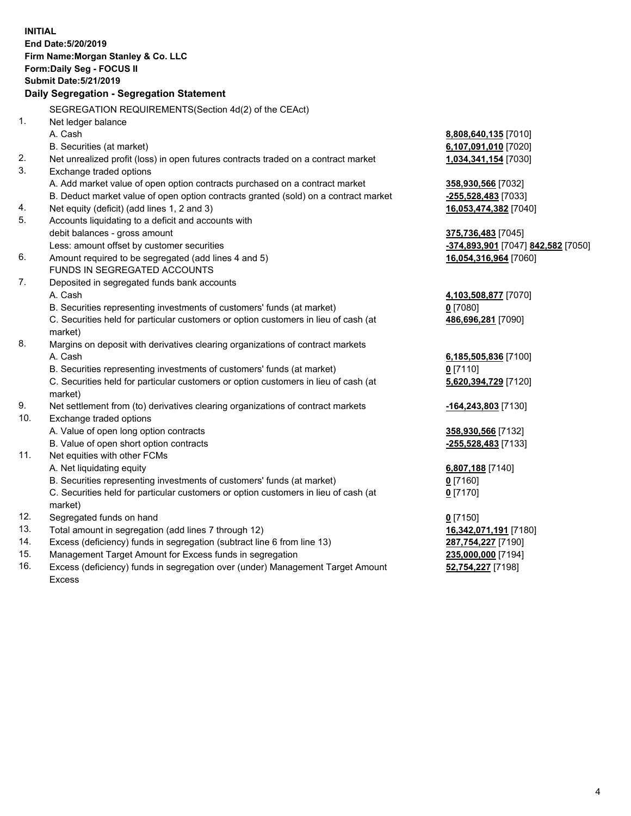|     | <b>INITIAL</b><br>End Date: 5/20/2019<br>Firm Name: Morgan Stanley & Co. LLC<br>Form: Daily Seg - FOCUS II<br><b>Submit Date: 5/21/2019</b> |                                                 |
|-----|---------------------------------------------------------------------------------------------------------------------------------------------|-------------------------------------------------|
|     | Daily Segregation - Segregation Statement                                                                                                   |                                                 |
|     | SEGREGATION REQUIREMENTS(Section 4d(2) of the CEAct)                                                                                        |                                                 |
| 1.  | Net ledger balance                                                                                                                          |                                                 |
|     | A. Cash                                                                                                                                     | 8,808,640,135 [7010]                            |
|     | B. Securities (at market)                                                                                                                   | 6,107,091,010 [7020]                            |
| 2.  | Net unrealized profit (loss) in open futures contracts traded on a contract market                                                          | 1,034,341,154 [7030]                            |
| 3.  | Exchange traded options                                                                                                                     |                                                 |
|     | A. Add market value of open option contracts purchased on a contract market                                                                 | 358,930,566 [7032]                              |
|     | B. Deduct market value of open option contracts granted (sold) on a contract market                                                         | <u>-255,528,483</u> [7033]                      |
| 4.  | Net equity (deficit) (add lines 1, 2 and 3)                                                                                                 | 16,053,474,382 [7040]                           |
| 5.  | Accounts liquidating to a deficit and accounts with                                                                                         |                                                 |
|     | debit balances - gross amount                                                                                                               | 375,736,483 [7045]                              |
|     | Less: amount offset by customer securities                                                                                                  | <mark>-374,893,901</mark> [7047] 842,582 [7050] |
| 6.  | Amount required to be segregated (add lines 4 and 5)                                                                                        | 16,054,316,964 [7060]                           |
|     | FUNDS IN SEGREGATED ACCOUNTS                                                                                                                |                                                 |
| 7.  | Deposited in segregated funds bank accounts                                                                                                 |                                                 |
|     | A. Cash                                                                                                                                     | 4,103,508,877 [7070]                            |
|     | B. Securities representing investments of customers' funds (at market)                                                                      | $0$ [7080]                                      |
|     | C. Securities held for particular customers or option customers in lieu of cash (at<br>market)                                              | 486,696,281 [7090]                              |
| 8.  | Margins on deposit with derivatives clearing organizations of contract markets                                                              |                                                 |
|     | A. Cash                                                                                                                                     | 6,185,505,836 [7100]                            |
|     | B. Securities representing investments of customers' funds (at market)                                                                      | $0$ [7110]                                      |
|     | C. Securities held for particular customers or option customers in lieu of cash (at<br>market)                                              | 5,620,394,729 [7120]                            |
| 9.  | Net settlement from (to) derivatives clearing organizations of contract markets                                                             | <u>-164,243,803</u> [7130]                      |
| 10. | Exchange traded options                                                                                                                     |                                                 |
|     | A. Value of open long option contracts                                                                                                      | <u>358,930,566</u> [7132]                       |
|     | B. Value of open short option contracts                                                                                                     | -255,528,483 [7133]                             |
| 11. | Net equities with other FCMs                                                                                                                |                                                 |
|     | A. Net liquidating equity                                                                                                                   | 6,807,188 [7140]                                |
|     | B. Securities representing investments of customers' funds (at market)                                                                      | $0$ [7160]                                      |
|     | C. Securities held for particular customers or option customers in lieu of cash (at                                                         | $0$ [7170]                                      |
|     | market)                                                                                                                                     |                                                 |
| 12. | Segregated funds on hand                                                                                                                    | $0$ [7150]                                      |
| 13. | Total amount in segregation (add lines 7 through 12)                                                                                        | 16,342,071,191 [7180]                           |
| 14. | Excess (deficiency) funds in segregation (subtract line 6 from line 13)                                                                     | 287,754,227 [7190]                              |
| 15. | Management Target Amount for Excess funds in segregation                                                                                    | 235,000,000 [7194]                              |

16. Excess (deficiency) funds in segregation over (under) Management Target Amount Excess

**52,754,227** [7198]